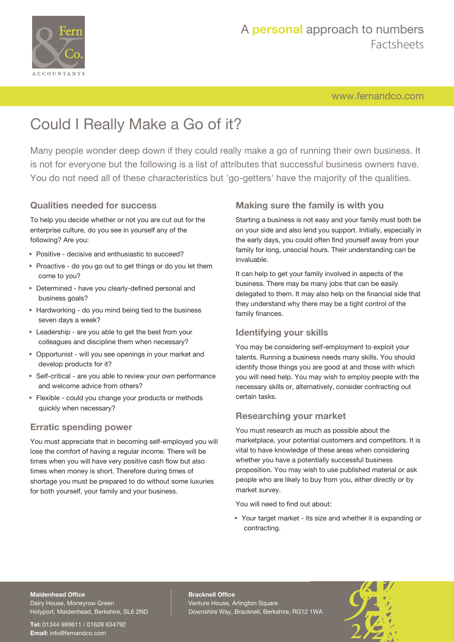

[www.fernandco.com](http://www.fernandco.com)

# Could I Really Make a Go of it?

Many people wonder deep down if they could really make a go of running their own business. It is not for everyone but the following is a list of attributes that successful business owners have. You do not need all of these characteristics but 'go-getters' have the majority of the qualities.

#### **Qualities needed for success**

To help you decide whether or not you are cut out for the enterprise culture, do you see in yourself any of the following? Are you:

- Positive decisive and enthusiastic to succeed?
- Proactive do you go out to get things or do you let them come to you?
- Determined have you clearly-defined personal and business goals?
- Hardworking do you mind being tied to the business seven days a week?
- Leadership are you able to get the best from your colleagues and discipline them when necessary?
- Opportunist will you see openings in your market and develop products for it?
- Self-critical are you able to review your own performance and welcome advice from others?
- Flexible could you change your products or methods quickly when necessary?

#### **Erratic spending power**

You must appreciate that in becoming self-employed you will lose the comfort of having a regular income. There will be times when you will have very positive cash flow but also times when money is short. Therefore during times of shortage you must be prepared to do without some luxuries for both yourself, your family and your business.

### **Making sure the family is with you**

Starting a business is not easy and your family must both be on your side and also lend you support. Initially, especially in the early days, you could often find yourself away from your family for long, unsocial hours. Their understanding can be invaluable.

It can help to get your family involved in aspects of the business. There may be many jobs that can be easily delegated to them. It may also help on the financial side that they understand why there may be a tight control of the family finances.

### **Identifying your skills**

You may be considering self-employment to exploit your talents. Running a business needs many skills. You should identify those things you are good at and those with which you will need help. You may wish to employ people with the necessary skills or, alternatively, consider contracting out certain tasks.

#### **Researching your market**

You must research as much as possible about the marketplace, your potential customers and competitors. It is vital to have knowledge of these areas when considering whether you have a potentially successful business proposition. You may wish to use published material or ask people who are likely to buy from you, either directly or by market survey.

You will need to find out about:

• Your target market - its size and whether it is expanding or contracting.

### **Maidenhead Office**

Dairy House, Moneyrow Green Holyport, Maidenhead, Berkshire, SL6 2ND

**Tel:** 01344 989611 / 01628 634792 **Email:** [info@fernandco.com](mailto:info@fernandco.com)

**Bracknell Office** Venture House, Arlington Square Downshire Way, Bracknell, Berkshire, RG12 1WA